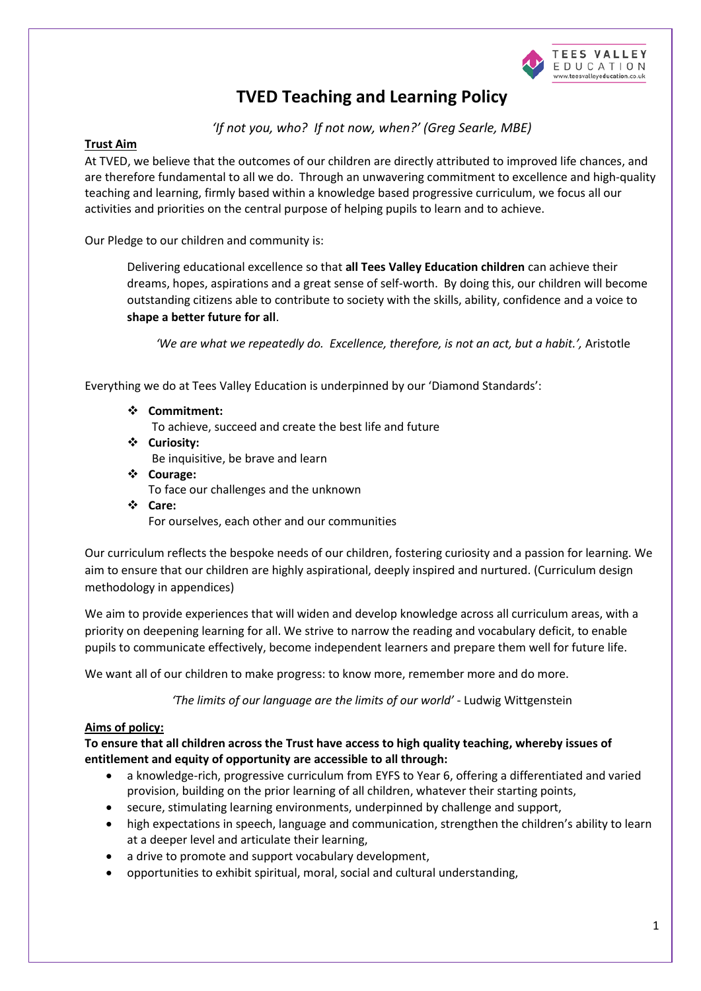

# **TVED Teaching and Learning Policy**

*'If not you, who? If not now, when?' (Greg Searle, MBE)*

# **Trust Aim**

At TVED, we believe that the outcomes of our children are directly attributed to improved life chances, and are therefore fundamental to all we do. Through an unwavering commitment to excellence and high-quality teaching and learning, firmly based within a knowledge based progressive curriculum, we focus all our activities and priorities on the central purpose of helping pupils to learn and to achieve.

Our Pledge to our children and community is:

Delivering educational excellence so that **all Tees Valley Education children** can achieve their dreams, hopes, aspirations and a great sense of self-worth. By doing this, our children will become outstanding citizens able to contribute to society with the skills, ability, confidence and a voice to **shape a better future for all**.

*'We are what we repeatedly do. Excellence, therefore, is not an act, but a habit.',* Aristotle

Everything we do at Tees Valley Education is underpinned by our 'Diamond Standards':

- **Commitment:**
	- To achieve, succeed and create the best life and future
- **Curiosity:**

Be inquisitive, be brave and learn

 **Courage:**  To face our challenges and the unknown **Care:**

For ourselves, each other and our communities

Our curriculum reflects the bespoke needs of our children, fostering curiosity and a passion for learning. We aim to ensure that our children are highly aspirational, deeply inspired and nurtured. (Curriculum design methodology in appendices)

We aim to provide experiences that will widen and develop knowledge across all curriculum areas, with a priority on deepening learning for all. We strive to narrow the reading and vocabulary deficit, to enable pupils to communicate effectively, become independent learners and prepare them well for future life.

We want all of our children to make progress: to know more, remember more and do more.

*'The limits of our language are the limits of our world'* - Ludwig Wittgenstein

## **Aims of policy:**

**To ensure that all children across the Trust have access to high quality teaching, whereby issues of entitlement and equity of opportunity are accessible to all through:**

- a knowledge-rich, progressive curriculum from EYFS to Year 6, offering a differentiated and varied provision, building on the prior learning of all children, whatever their starting points,
- secure, stimulating learning environments, underpinned by challenge and support,
- high expectations in speech, language and communication, strengthen the children's ability to learn at a deeper level and articulate their learning,
- a drive to promote and support vocabulary development,
- opportunities to exhibit spiritual, moral, social and cultural understanding,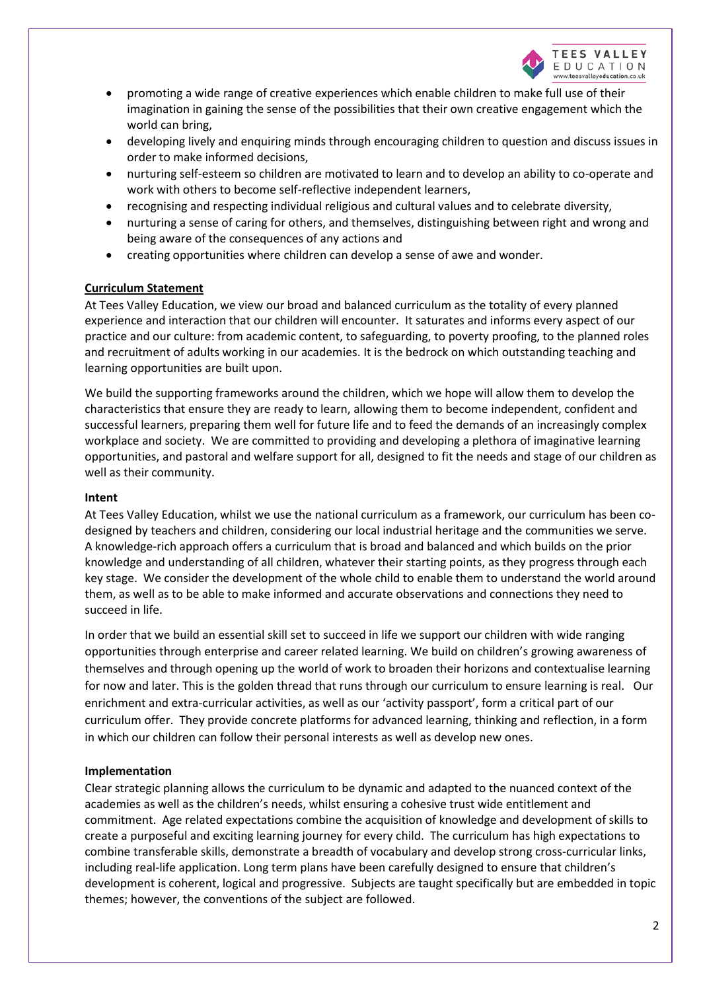

- promoting a wide range of creative experiences which enable children to make full use of their imagination in gaining the sense of the possibilities that their own creative engagement which the world can bring,
- developing lively and enquiring minds through encouraging children to question and discuss issues in order to make informed decisions,
- nurturing self-esteem so children are motivated to learn and to develop an ability to co-operate and work with others to become self-reflective independent learners,
- recognising and respecting individual religious and cultural values and to celebrate diversity,
- nurturing a sense of caring for others, and themselves, distinguishing between right and wrong and being aware of the consequences of any actions and
- creating opportunities where children can develop a sense of awe and wonder.

## **Curriculum Statement**

At Tees Valley Education, we view our broad and balanced curriculum as the totality of every planned experience and interaction that our children will encounter. It saturates and informs every aspect of our practice and our culture: from academic content, to safeguarding, to poverty proofing, to the planned roles and recruitment of adults working in our academies. It is the bedrock on which outstanding teaching and learning opportunities are built upon.

We build the supporting frameworks around the children, which we hope will allow them to develop the characteristics that ensure they are ready to learn, allowing them to become independent, confident and successful learners, preparing them well for future life and to feed the demands of an increasingly complex workplace and society. We are committed to providing and developing a plethora of imaginative learning opportunities, and pastoral and welfare support for all, designed to fit the needs and stage of our children as well as their community.

#### **Intent**

At Tees Valley Education, whilst we use the national curriculum as a framework, our curriculum has been codesigned by teachers and children, considering our local industrial heritage and the communities we serve. A knowledge-rich approach offers a curriculum that is broad and balanced and which builds on the prior knowledge and understanding of all children, whatever their starting points, as they progress through each key stage. We consider the development of the whole child to enable them to understand the world around them, as well as to be able to make informed and accurate observations and connections they need to succeed in life.

In order that we build an essential skill set to succeed in life we support our children with wide ranging opportunities through enterprise and career related learning. We build on children's growing awareness of themselves and through opening up the world of work to broaden their horizons and contextualise learning for now and later. This is the golden thread that runs through our curriculum to ensure learning is real. Our enrichment and extra-curricular activities, as well as our 'activity passport', form a critical part of our curriculum offer. They provide concrete platforms for advanced learning, thinking and reflection, in a form in which our children can follow their personal interests as well as develop new ones.

## **Implementation**

Clear strategic planning allows the curriculum to be dynamic and adapted to the nuanced context of the academies as well as the children's needs, whilst ensuring a cohesive trust wide entitlement and commitment. Age related expectations combine the acquisition of knowledge and development of skills to create a purposeful and exciting learning journey for every child. The curriculum has high expectations to combine transferable skills, demonstrate a breadth of vocabulary and develop strong cross-curricular links, including real-life application. Long term plans have been carefully designed to ensure that children's development is coherent, logical and progressive. Subjects are taught specifically but are embedded in topic themes; however, the conventions of the subject are followed.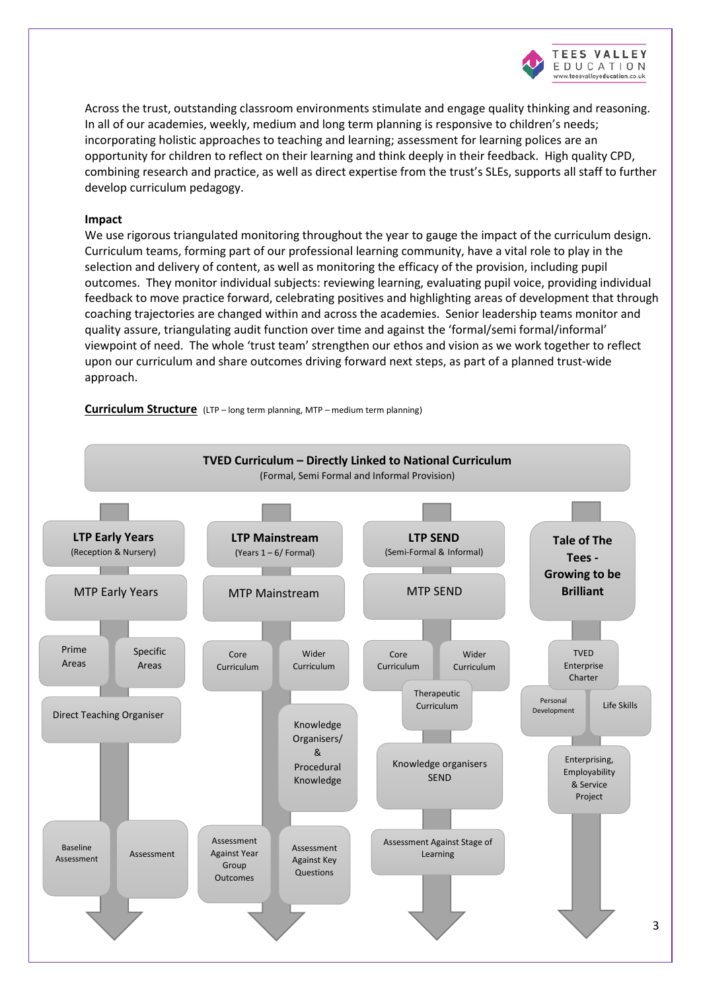

Across the trust, outstanding classroom environments stimulate and engage quality thinking and reasoning. In all of our academies, weekly, medium and long term planning is responsive to children's needs; incorporating holistic approaches to teaching and learning; assessment for learning polices are an opportunity for children to reflect on their learning and think deeply in their feedback. High quality CPD, combining research and practice, as well as direct expertise from the trust's SLEs, supports all staff to further develop curriculum pedagogy.

#### **Impact**

We use rigorous triangulated monitoring throughout the year to gauge the impact of the curriculum design. Curriculum teams, forming part of our professional learning community, have a vital role to play in the selection and delivery of content, as well as monitoring the efficacy of the provision, including pupil outcomes. They monitor individual subjects: reviewing learning, evaluating pupil voice, providing individual feedback to move practice forward, celebrating positives and highlighting areas of development that through coaching trajectories are changed within and across the academies. Senior leadership teams monitor and quality assure, triangulating audit function over time and against the 'formal/semi formal/informal' viewpoint of need. The whole 'trust team' strengthen our ethos and vision as we work together to reflect upon our curriculum and share outcomes driving forward next steps, as part of a planned trust-wide approach.

**Curriculum Structure** (LTP – long term planning, MTP – medium term planning)

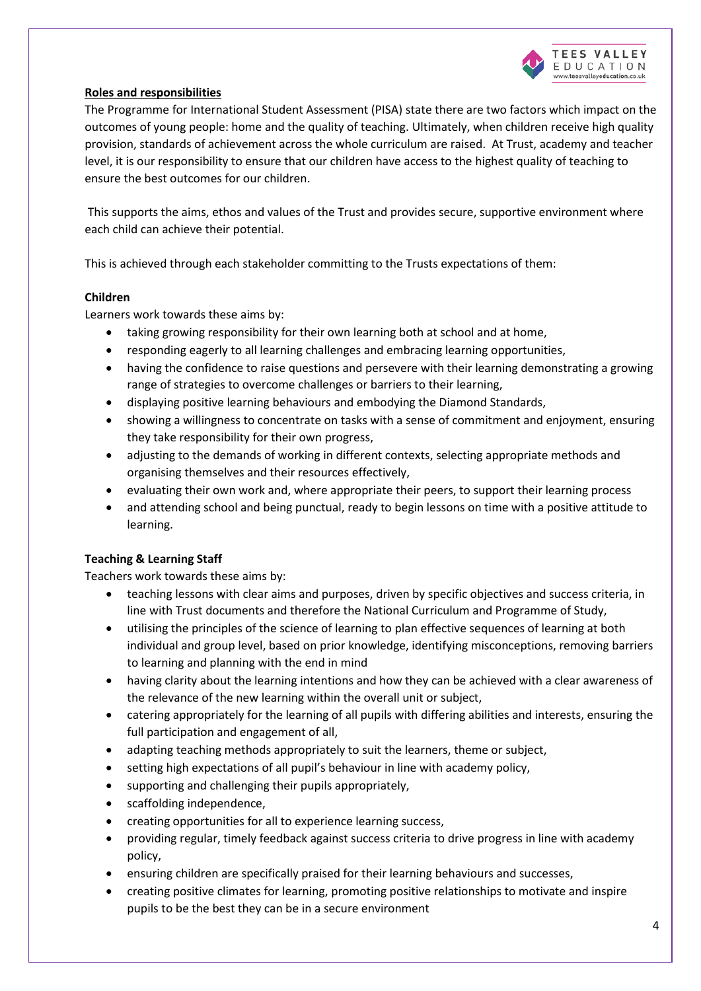

# **Roles and responsibilities**

The Programme for International Student Assessment (PISA) state there are two factors which impact on the outcomes of young people: home and the quality of teaching. Ultimately, when children receive high quality provision, standards of achievement across the whole curriculum are raised. At Trust, academy and teacher level, it is our responsibility to ensure that our children have access to the highest quality of teaching to ensure the best outcomes for our children.

This supports the aims, ethos and values of the Trust and provides secure, supportive environment where each child can achieve their potential.

This is achieved through each stakeholder committing to the Trusts expectations of them:

## **Children**

Learners work towards these aims by:

- taking growing responsibility for their own learning both at school and at home,
- responding eagerly to all learning challenges and embracing learning opportunities,
- having the confidence to raise questions and persevere with their learning demonstrating a growing range of strategies to overcome challenges or barriers to their learning,
- displaying positive learning behaviours and embodying the Diamond Standards,
- showing a willingness to concentrate on tasks with a sense of commitment and enjoyment, ensuring they take responsibility for their own progress,
- adjusting to the demands of working in different contexts, selecting appropriate methods and organising themselves and their resources effectively,
- evaluating their own work and, where appropriate their peers, to support their learning process
- and attending school and being punctual, ready to begin lessons on time with a positive attitude to learning.

## **Teaching & Learning Staff**

Teachers work towards these aims by:

- teaching lessons with clear aims and purposes, driven by specific objectives and success criteria, in line with Trust documents and therefore the National Curriculum and Programme of Study,
- utilising the principles of the science of learning to plan effective sequences of learning at both individual and group level, based on prior knowledge, identifying misconceptions, removing barriers to learning and planning with the end in mind
- having clarity about the learning intentions and how they can be achieved with a clear awareness of the relevance of the new learning within the overall unit or subject,
- catering appropriately for the learning of all pupils with differing abilities and interests, ensuring the full participation and engagement of all,
- adapting teaching methods appropriately to suit the learners, theme or subject,
- setting high expectations of all pupil's behaviour in line with academy policy,
- supporting and challenging their pupils appropriately,
- scaffolding independence,
- creating opportunities for all to experience learning success,
- providing regular, timely feedback against success criteria to drive progress in line with academy policy,
- ensuring children are specifically praised for their learning behaviours and successes,
- creating positive climates for learning, promoting positive relationships to motivate and inspire pupils to be the best they can be in a secure environment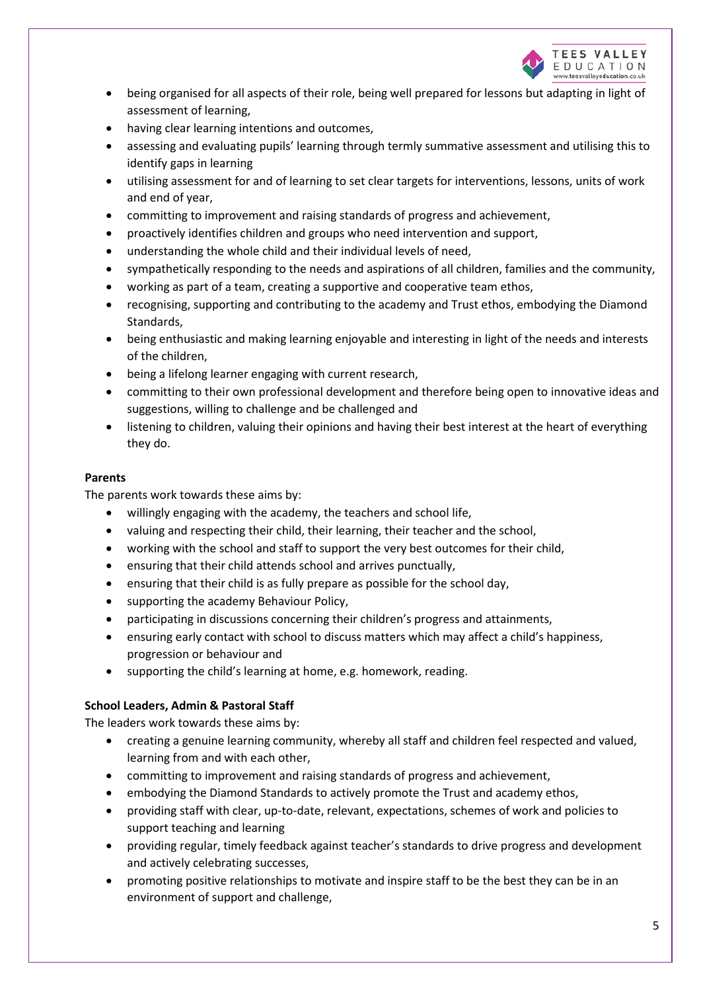

- being organised for all aspects of their role, being well prepared for lessons but adapting in light of assessment of learning,
- having clear learning intentions and outcomes,
- assessing and evaluating pupils' learning through termly summative assessment and utilising this to identify gaps in learning
- utilising assessment for and of learning to set clear targets for interventions, lessons, units of work and end of year,
- committing to improvement and raising standards of progress and achievement,
- proactively identifies children and groups who need intervention and support,
- understanding the whole child and their individual levels of need,
- sympathetically responding to the needs and aspirations of all children, families and the community,
- working as part of a team, creating a supportive and cooperative team ethos,
- recognising, supporting and contributing to the academy and Trust ethos, embodying the Diamond Standards,
- being enthusiastic and making learning enjoyable and interesting in light of the needs and interests of the children,
- being a lifelong learner engaging with current research,
- committing to their own professional development and therefore being open to innovative ideas and suggestions, willing to challenge and be challenged and
- listening to children, valuing their opinions and having their best interest at the heart of everything they do.

# **Parents**

The parents work towards these aims by:

- willingly engaging with the academy, the teachers and school life,
- valuing and respecting their child, their learning, their teacher and the school,
- working with the school and staff to support the very best outcomes for their child,
- ensuring that their child attends school and arrives punctually,
- ensuring that their child is as fully prepare as possible for the school day,
- supporting the academy Behaviour Policy,
- participating in discussions concerning their children's progress and attainments,
- ensuring early contact with school to discuss matters which may affect a child's happiness, progression or behaviour and
- supporting the child's learning at home, e.g. homework, reading.

# **School Leaders, Admin & Pastoral Staff**

The leaders work towards these aims by:

- creating a genuine learning community, whereby all staff and children feel respected and valued, learning from and with each other,
- committing to improvement and raising standards of progress and achievement,
- embodying the Diamond Standards to actively promote the Trust and academy ethos,
- providing staff with clear, up-to-date, relevant, expectations, schemes of work and policies to support teaching and learning
- providing regular, timely feedback against teacher's standards to drive progress and development and actively celebrating successes,
- promoting positive relationships to motivate and inspire staff to be the best they can be in an environment of support and challenge,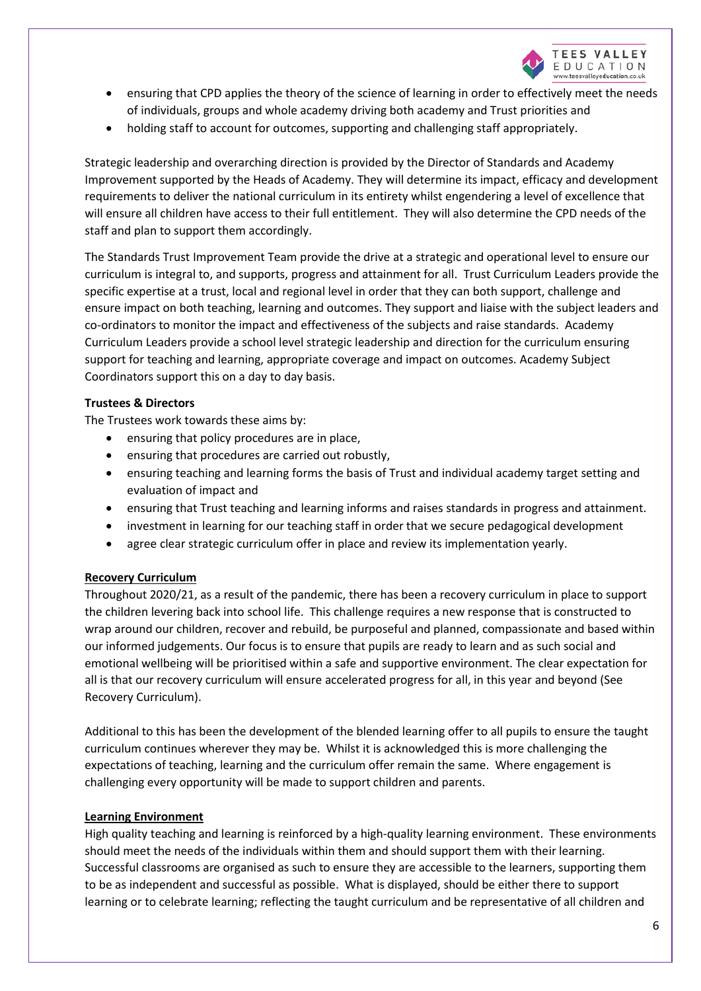

- ensuring that CPD applies the theory of the science of learning in order to effectively meet the needs of individuals, groups and whole academy driving both academy and Trust priorities and
- holding staff to account for outcomes, supporting and challenging staff appropriately.

Strategic leadership and overarching direction is provided by the Director of Standards and Academy Improvement supported by the Heads of Academy. They will determine its impact, efficacy and development requirements to deliver the national curriculum in its entirety whilst engendering a level of excellence that will ensure all children have access to their full entitlement. They will also determine the CPD needs of the staff and plan to support them accordingly.

The Standards Trust Improvement Team provide the drive at a strategic and operational level to ensure our curriculum is integral to, and supports, progress and attainment for all. Trust Curriculum Leaders provide the specific expertise at a trust, local and regional level in order that they can both support, challenge and ensure impact on both teaching, learning and outcomes. They support and liaise with the subject leaders and co-ordinators to monitor the impact and effectiveness of the subjects and raise standards. Academy Curriculum Leaders provide a school level strategic leadership and direction for the curriculum ensuring support for teaching and learning, appropriate coverage and impact on outcomes. Academy Subject Coordinators support this on a day to day basis.

## **Trustees & Directors**

The Trustees work towards these aims by:

- ensuring that policy procedures are in place,
- ensuring that procedures are carried out robustly,
- ensuring teaching and learning forms the basis of Trust and individual academy target setting and evaluation of impact and
- ensuring that Trust teaching and learning informs and raises standards in progress and attainment.
- investment in learning for our teaching staff in order that we secure pedagogical development
- agree clear strategic curriculum offer in place and review its implementation yearly.

## **Recovery Curriculum**

Throughout 2020/21, as a result of the pandemic, there has been a recovery curriculum in place to support the children levering back into school life. This challenge requires a new response that is constructed to wrap around our children, recover and rebuild, be purposeful and planned, compassionate and based within our informed judgements. Our focus is to ensure that pupils are ready to learn and as such social and emotional wellbeing will be prioritised within a safe and supportive environment. The clear expectation for all is that our recovery curriculum will ensure accelerated progress for all, in this year and beyond (See Recovery Curriculum).

Additional to this has been the development of the blended learning offer to all pupils to ensure the taught curriculum continues wherever they may be. Whilst it is acknowledged this is more challenging the expectations of teaching, learning and the curriculum offer remain the same. Where engagement is challenging every opportunity will be made to support children and parents.

## **Learning Environment**

High quality teaching and learning is reinforced by a high-quality learning environment. These environments should meet the needs of the individuals within them and should support them with their learning. Successful classrooms are organised as such to ensure they are accessible to the learners, supporting them to be as independent and successful as possible. What is displayed, should be either there to support learning or to celebrate learning; reflecting the taught curriculum and be representative of all children and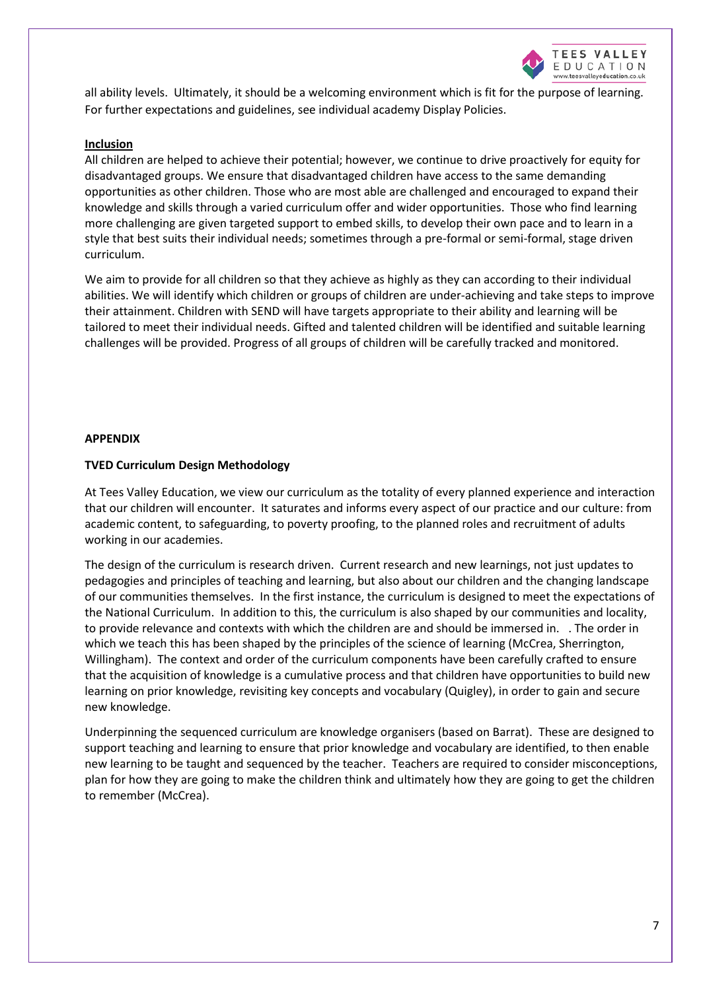

all ability levels. Ultimately, it should be a welcoming environment which is fit for the purpose of learning. For further expectations and guidelines, see individual academy Display Policies.

#### **Inclusion**

All children are helped to achieve their potential; however, we continue to drive proactively for equity for disadvantaged groups. We ensure that disadvantaged children have access to the same demanding opportunities as other children. Those who are most able are challenged and encouraged to expand their knowledge and skills through a varied curriculum offer and wider opportunities. Those who find learning more challenging are given targeted support to embed skills, to develop their own pace and to learn in a style that best suits their individual needs; sometimes through a pre-formal or semi-formal, stage driven curriculum.

We aim to provide for all children so that they achieve as highly as they can according to their individual abilities. We will identify which children or groups of children are under-achieving and take steps to improve their attainment. Children with SEND will have targets appropriate to their ability and learning will be tailored to meet their individual needs. Gifted and talented children will be identified and suitable learning challenges will be provided. Progress of all groups of children will be carefully tracked and monitored.

## **APPENDIX**

## **TVED Curriculum Design Methodology**

At Tees Valley Education, we view our curriculum as the totality of every planned experience and interaction that our children will encounter. It saturates and informs every aspect of our practice and our culture: from academic content, to safeguarding, to poverty proofing, to the planned roles and recruitment of adults working in our academies.

The design of the curriculum is research driven. Current research and new learnings, not just updates to pedagogies and principles of teaching and learning, but also about our children and the changing landscape of our communities themselves. In the first instance, the curriculum is designed to meet the expectations of the National Curriculum. In addition to this, the curriculum is also shaped by our communities and locality, to provide relevance and contexts with which the children are and should be immersed in. . The order in which we teach this has been shaped by the principles of the science of learning (McCrea, Sherrington, Willingham). The context and order of the curriculum components have been carefully crafted to ensure that the acquisition of knowledge is a cumulative process and that children have opportunities to build new learning on prior knowledge, revisiting key concepts and vocabulary (Quigley), in order to gain and secure new knowledge.

Underpinning the sequenced curriculum are knowledge organisers (based on Barrat). These are designed to support teaching and learning to ensure that prior knowledge and vocabulary are identified, to then enable new learning to be taught and sequenced by the teacher. Teachers are required to consider misconceptions, plan for how they are going to make the children think and ultimately how they are going to get the children to remember (McCrea).